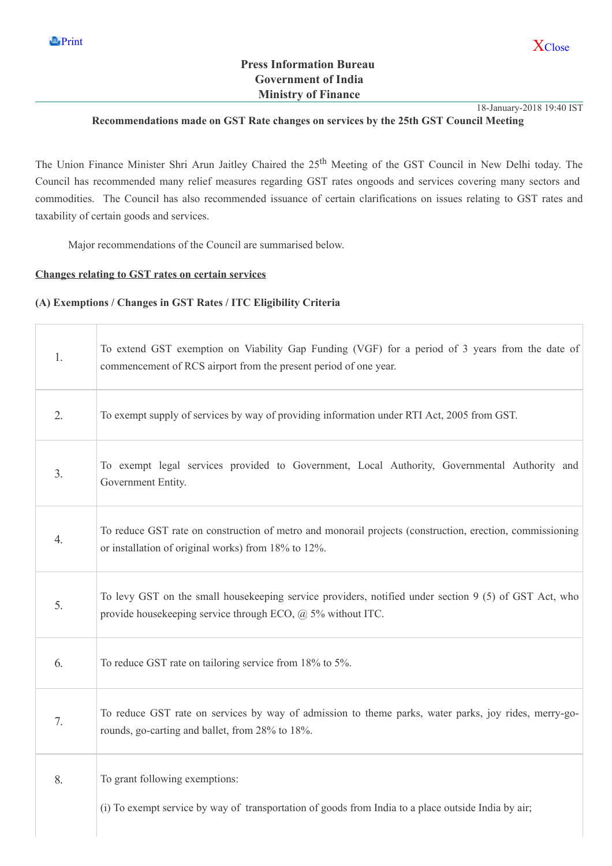## Press Information Bureau Government of India Ministry of Finance

18-January-2018 19:40 IST

### Recommendations made on GST Rate changes on services by the 25th GST Council Meeting

The Union Finance Minister Shri Arun Jaitley Chaired the 25<sup>th</sup> Meeting of the GST Council in New Delhi today. The Council has recommended many relief measures regarding GST rates ongoods and services covering many sectors and commodities. The Council has also recommended issuance of certain clarifications on issues relating to GST rates and taxability of certain goods and services.

Major recommendations of the Council are summarised below.

#### Changes relating to GST rates on certain services

### (A) Exemptions / Changes in GST Rates / ITC Eligibility Criteria

| 1.               | To extend GST exemption on Viability Gap Funding (VGF) for a period of 3 years from the date of<br>commencement of RCS airport from the present period of one year.          |
|------------------|------------------------------------------------------------------------------------------------------------------------------------------------------------------------------|
| 2.               | To exempt supply of services by way of providing information under RTI Act, 2005 from GST.                                                                                   |
| 3.               | To exempt legal services provided to Government, Local Authority, Governmental Authority and<br>Government Entity.                                                           |
| $\overline{4}$ . | To reduce GST rate on construction of metro and monorail projects (construction, erection, commissioning<br>or installation of original works) from 18% to 12%.              |
| 5.               | To levy GST on the small house keeping service providers, notified under section 9 (5) of GST Act, who<br>provide housekeeping service through ECO, $\omega$ 5% without ITC. |
| 6.               | To reduce GST rate on tailoring service from 18% to 5%.                                                                                                                      |
| 7.               | To reduce GST rate on services by way of admission to theme parks, water parks, joy rides, merry-go-<br>rounds, go-carting and ballet, from 28% to 18%.                      |
| 8.               | To grant following exemptions:<br>(i) To exempt service by way of transportation of goods from India to a place outside India by air;                                        |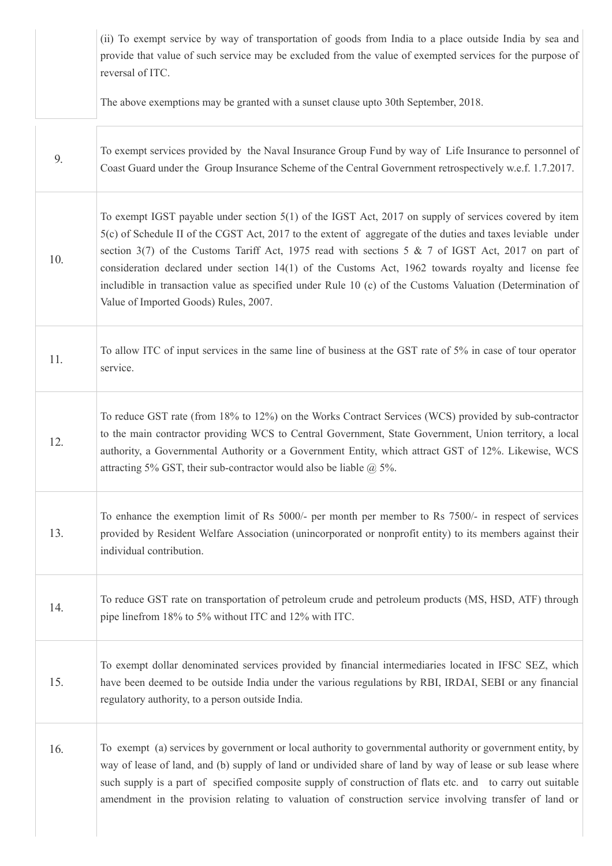|     | (ii) To exempt service by way of transportation of goods from India to a place outside India by sea and<br>provide that value of such service may be excluded from the value of exempted services for the purpose of<br>reversal of ITC.                                                                                                                                                                                                                                                                                                                                                |
|-----|-----------------------------------------------------------------------------------------------------------------------------------------------------------------------------------------------------------------------------------------------------------------------------------------------------------------------------------------------------------------------------------------------------------------------------------------------------------------------------------------------------------------------------------------------------------------------------------------|
|     | The above exemptions may be granted with a sunset clause upto 30th September, 2018.                                                                                                                                                                                                                                                                                                                                                                                                                                                                                                     |
| 9.  | To exempt services provided by the Naval Insurance Group Fund by way of Life Insurance to personnel of<br>Coast Guard under the Group Insurance Scheme of the Central Government retrospectively w.e.f. 1.7.2017.                                                                                                                                                                                                                                                                                                                                                                       |
| 10. | To exempt IGST payable under section 5(1) of the IGST Act, 2017 on supply of services covered by item<br>5(c) of Schedule II of the CGST Act, 2017 to the extent of aggregate of the duties and taxes leviable under<br>section 3(7) of the Customs Tariff Act, 1975 read with sections 5 & 7 of IGST Act, 2017 on part of<br>consideration declared under section 14(1) of the Customs Act, 1962 towards royalty and license fee<br>includible in transaction value as specified under Rule 10 (c) of the Customs Valuation (Determination of<br>Value of Imported Goods) Rules, 2007. |
| 11. | To allow ITC of input services in the same line of business at the GST rate of 5% in case of tour operator<br>service.                                                                                                                                                                                                                                                                                                                                                                                                                                                                  |
| 12. | To reduce GST rate (from 18% to 12%) on the Works Contract Services (WCS) provided by sub-contractor<br>to the main contractor providing WCS to Central Government, State Government, Union territory, a local<br>authority, a Governmental Authority or a Government Entity, which attract GST of 12%. Likewise, WCS<br>attracting 5% GST, their sub-contractor would also be liable $@$ 5%.                                                                                                                                                                                           |
| 13. | To enhance the exemption limit of Rs 5000/- per month per member to Rs 7500/- in respect of services<br>provided by Resident Welfare Association (unincorporated or nonprofit entity) to its members against their<br>individual contribution.                                                                                                                                                                                                                                                                                                                                          |
| 14. | To reduce GST rate on transportation of petroleum crude and petroleum products (MS, HSD, ATF) through<br>pipe linefrom 18% to 5% without ITC and 12% with ITC.                                                                                                                                                                                                                                                                                                                                                                                                                          |
| 15. | To exempt dollar denominated services provided by financial intermediaries located in IFSC SEZ, which<br>have been deemed to be outside India under the various regulations by RBI, IRDAI, SEBI or any financial<br>regulatory authority, to a person outside India.                                                                                                                                                                                                                                                                                                                    |
| 16. | To exempt (a) services by government or local authority to governmental authority or government entity, by<br>way of lease of land, and (b) supply of land or undivided share of land by way of lease or sub lease where<br>such supply is a part of specified composite supply of construction of flats etc. and to carry out suitable<br>amendment in the provision relating to valuation of construction service involving transfer of land or                                                                                                                                       |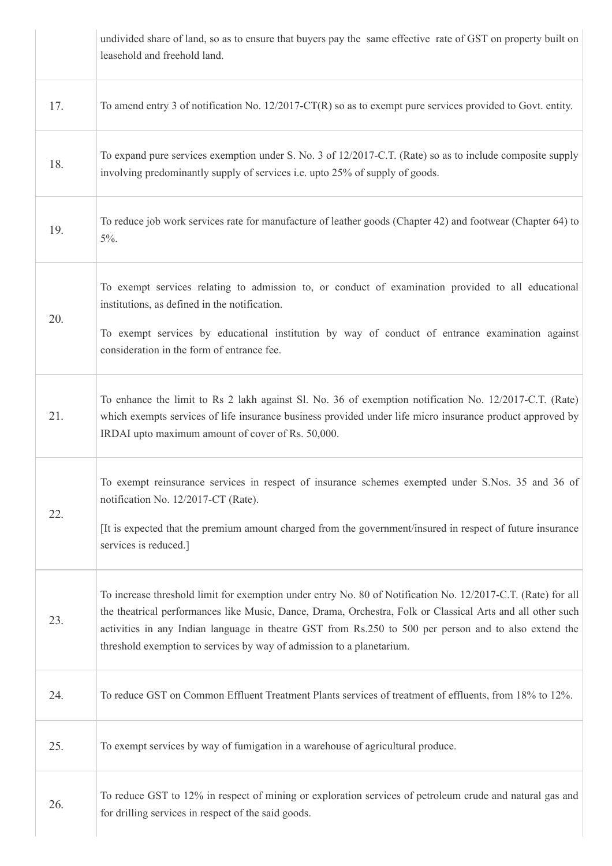|     | undivided share of land, so as to ensure that buyers pay the same effective rate of GST on property built on<br>leasehold and freehold land.                                                                                                                                                                                                                                                                 |
|-----|--------------------------------------------------------------------------------------------------------------------------------------------------------------------------------------------------------------------------------------------------------------------------------------------------------------------------------------------------------------------------------------------------------------|
| 17. | To amend entry 3 of notification No. $12/2017$ -CT(R) so as to exempt pure services provided to Govt. entity.                                                                                                                                                                                                                                                                                                |
| 18. | To expand pure services exemption under S. No. 3 of 12/2017-C.T. (Rate) so as to include composite supply<br>involving predominantly supply of services i.e. upto 25% of supply of goods.                                                                                                                                                                                                                    |
| 19. | To reduce job work services rate for manufacture of leather goods (Chapter 42) and footwear (Chapter 64) to<br>$5\%$ .                                                                                                                                                                                                                                                                                       |
| 20. | To exempt services relating to admission to, or conduct of examination provided to all educational<br>institutions, as defined in the notification.                                                                                                                                                                                                                                                          |
|     | To exempt services by educational institution by way of conduct of entrance examination against<br>consideration in the form of entrance fee.                                                                                                                                                                                                                                                                |
| 21. | To enhance the limit to Rs 2 lakh against Sl. No. 36 of exemption notification No. 12/2017-C.T. (Rate)<br>which exempts services of life insurance business provided under life micro insurance product approved by<br>IRDAI upto maximum amount of cover of Rs. 50,000.                                                                                                                                     |
| 22. | To exempt reinsurance services in respect of insurance schemes exempted under S.Nos. 35 and 36 of<br>notification No. 12/2017-CT (Rate).<br>It is expected that the premium amount charged from the government/insured in respect of future insurance                                                                                                                                                        |
|     | services is reduced.]                                                                                                                                                                                                                                                                                                                                                                                        |
| 23. | To increase threshold limit for exemption under entry No. 80 of Notification No. 12/2017-C.T. (Rate) for all<br>the theatrical performances like Music, Dance, Drama, Orchestra, Folk or Classical Arts and all other such<br>activities in any Indian language in theatre GST from Rs.250 to 500 per person and to also extend the<br>threshold exemption to services by way of admission to a planetarium. |
| 24. | To reduce GST on Common Effluent Treatment Plants services of treatment of effluents, from 18% to 12%.                                                                                                                                                                                                                                                                                                       |
| 25. | To exempt services by way of fumigation in a warehouse of agricultural produce.                                                                                                                                                                                                                                                                                                                              |
| 26. | To reduce GST to 12% in respect of mining or exploration services of petroleum crude and natural gas and<br>for drilling services in respect of the said goods.                                                                                                                                                                                                                                              |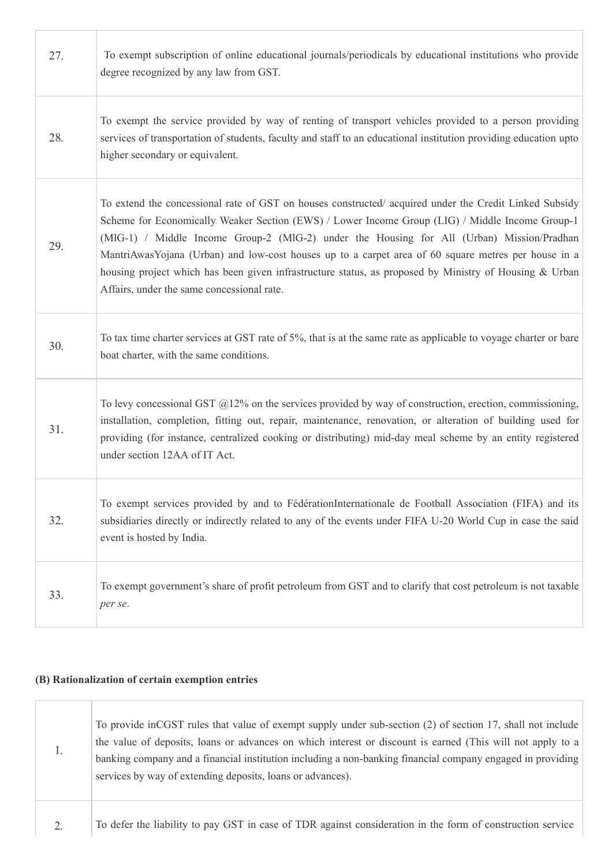| 27. | To exempt subscription of online educational journals/periodicals by educational institutions who provide<br>degree recognized by any law from GST.                                                                                                                                                                                                                                                                                                                                                                                                                  |
|-----|----------------------------------------------------------------------------------------------------------------------------------------------------------------------------------------------------------------------------------------------------------------------------------------------------------------------------------------------------------------------------------------------------------------------------------------------------------------------------------------------------------------------------------------------------------------------|
| 28. | To exempt the service provided by way of renting of transport vehicles provided to a person providing<br>services of transportation of students, faculty and staff to an educational institution providing education upto<br>higher secondary or equivalent.                                                                                                                                                                                                                                                                                                         |
| 29. | To extend the concessional rate of GST on houses constructed/acquired under the Credit Linked Subsidy<br>Scheme for Economically Weaker Section (EWS) / Lower Income Group (LIG) / Middle Income Group-1<br>(MIG-1) / Middle Income Group-2 (MIG-2) under the Housing for All (Urban) Mission/Pradhan<br>MantriAwasYojana (Urban) and low-cost houses up to a carpet area of 60 square metres per house in a<br>housing project which has been given infrastructure status, as proposed by Ministry of Housing & Urban<br>Affairs, under the same concessional rate. |
| 30. | To tax time charter services at GST rate of 5%, that is at the same rate as applicable to voyage charter or bare<br>boat charter, with the same conditions.                                                                                                                                                                                                                                                                                                                                                                                                          |
| 31. | To levy concessional GST $@12\%$ on the services provided by way of construction, erection, commissioning,<br>installation, completion, fitting out, repair, maintenance, renovation, or alteration of building used for<br>providing (for instance, centralized cooking or distributing) mid-day meal scheme by an entity registered<br>under section 12AA of IT Act.                                                                                                                                                                                               |
| 32. | To exempt services provided by and to FédérationInternationale de Football Association (FIFA) and its<br>subsidiaries directly or indirectly related to any of the events under FIFA U-20 World Cup in case the said<br>event is hosted by India.                                                                                                                                                                                                                                                                                                                    |
| 33. | To exempt government's share of profit petroleum from GST and to clarify that cost petroleum is not taxable<br>per se.                                                                                                                                                                                                                                                                                                                                                                                                                                               |

## (B) Rationalization of certain exemption entries

T

| 1.               | To provide in CGST rules that value of exempt supply under sub-section (2) of section 17, shall not include<br>the value of deposits, loans or advances on which interest or discount is earned (This will not apply to a<br>banking company and a financial institution including a non-banking financial company engaged in providing<br>services by way of extending deposits, loans or advances). |
|------------------|-------------------------------------------------------------------------------------------------------------------------------------------------------------------------------------------------------------------------------------------------------------------------------------------------------------------------------------------------------------------------------------------------------|
| $\overline{2}$ . | To defer the liability to pay GST in case of TDR against consideration in the form of construction service                                                                                                                                                                                                                                                                                            |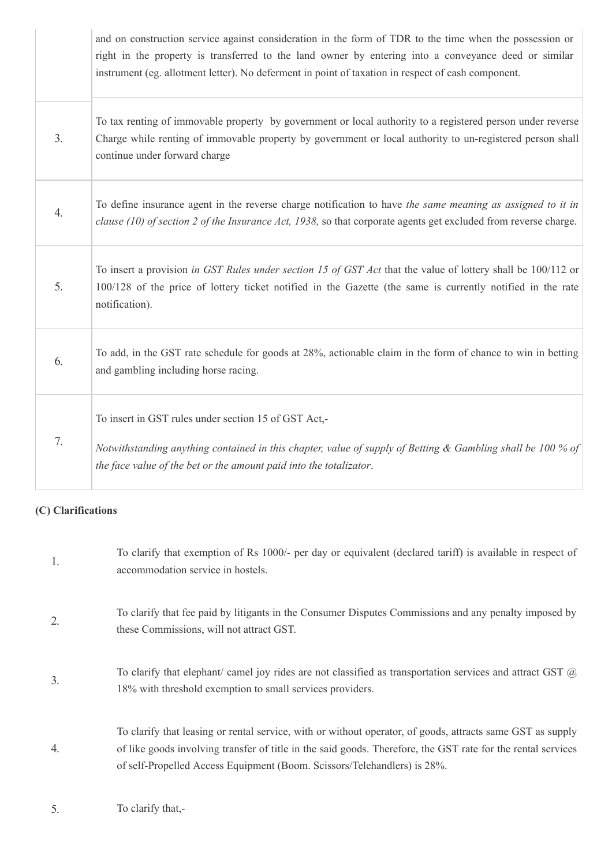|                | and on construction service against consideration in the form of TDR to the time when the possession or<br>right in the property is transferred to the land owner by entering into a conveyance deed or similar<br>instrument (eg. allotment letter). No deferment in point of taxation in respect of cash component. |
|----------------|-----------------------------------------------------------------------------------------------------------------------------------------------------------------------------------------------------------------------------------------------------------------------------------------------------------------------|
| 3 <sub>1</sub> | To tax renting of immovable property by government or local authority to a registered person under reverse<br>Charge while renting of immovable property by government or local authority to un-registered person shall<br>continue under forward charge                                                              |
| 4.             | To define insurance agent in the reverse charge notification to have the same meaning as assigned to it in<br>clause (10) of section 2 of the Insurance Act, 1938, so that corporate agents get excluded from reverse charge.                                                                                         |
| 5 <sub>1</sub> | To insert a provision in GST Rules under section 15 of GST Act that the value of lottery shall be 100/112 or<br>100/128 of the price of lottery ticket notified in the Gazette (the same is currently notified in the rate<br>notification).                                                                          |
| 6.             | To add, in the GST rate schedule for goods at 28%, actionable claim in the form of chance to win in betting<br>and gambling including horse racing.                                                                                                                                                                   |
| 7.             | To insert in GST rules under section 15 of GST Act,-<br>Notwithstanding anything contained in this chapter, value of supply of Betting & Gambling shall be 100 % of<br>the face value of the bet or the amount paid into the totalizator.                                                                             |

# (C) Clarifications

| 1.               | To clarify that exemption of Rs 1000/- per day or equivalent (declared tariff) is available in respect of<br>accommodation service in hostels.                                                                                                                                                         |
|------------------|--------------------------------------------------------------------------------------------------------------------------------------------------------------------------------------------------------------------------------------------------------------------------------------------------------|
| 2.               | To clarify that fee paid by litigants in the Consumer Disputes Commissions and any penalty imposed by<br>these Commissions, will not attract GST.                                                                                                                                                      |
| $\overline{3}$ . | To clarify that elephant/ camel joy rides are not classified as transportation services and attract GST $(a)$<br>18% with threshold exemption to small services providers.                                                                                                                             |
| 4.               | To clarify that leasing or rental service, with or without operator, of goods, attracts same GST as supply<br>of like goods involving transfer of title in the said goods. Therefore, the GST rate for the rental services<br>of self-Propelled Access Equipment (Boom. Scissors/Telehandlers) is 28%. |

5. To clarify that,-